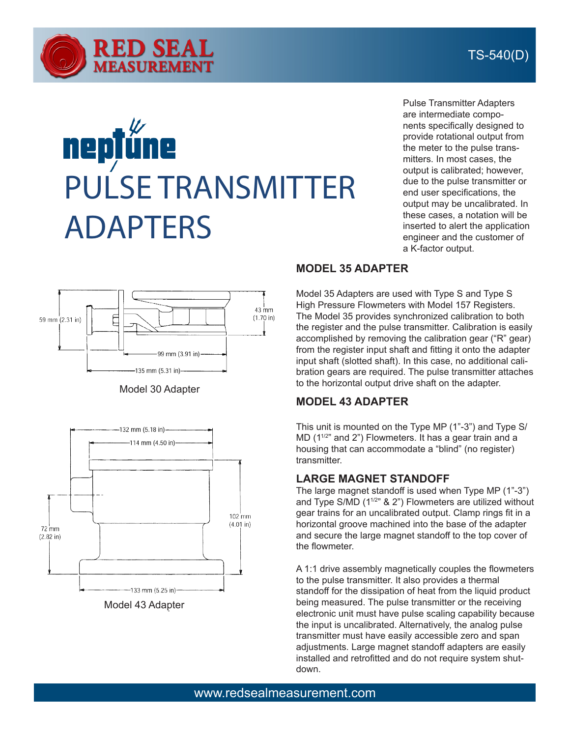

# **neptűne** PULSE TRANSMITTER ADAPTERS

Pulse Transmitter Adapters are intermediate components specifically designed to provide rotational output from the meter to the pulse transmitters. In most cases, the output is calibrated; however, due to the pulse transmitter or end user specifications, the output may be uncalibrated. In these cases, a notation will be inserted to alert the application engineer and the customer of a K-factor output.



Model 30 Adapter



Model 43 Adapter

#### **MODEL 35 ADAPTER**

Model 35 Adapters are used with Type S and Type S High Pressure Flowmeters with Model 157 Registers. The Model 35 provides synchronized calibration to both the register and the pulse transmitter. Calibration is easily accomplished by removing the calibration gear ("R" gear) from the register input shaft and fitting it onto the adapter input shaft (slotted shaft). In this case, no additional calibration gears are required. The pulse transmitter attaches to the horizontal output drive shaft on the adapter.

### **MODEL 43 ADAPTER**

This unit is mounted on the Type MP (1"-3") and Type S/ MD (1<sup>1/2</sup>" and 2") Flowmeters. It has a gear train and a housing that can accommodate a "blind" (no register) transmitter.

## **LARGE MAGNET STANDOFF**

The large magnet standoff is used when Type MP (1"-3") and Type S/MD (1<sup>1/2"</sup> & 2") Flowmeters are utilized without gear trains for an uncalibrated output. Clamp rings fit in a horizontal groove machined into the base of the adapter and secure the large magnet standoff to the top cover of the flowmeter.

A 1:1 drive assembly magnetically couples the flowmeters to the pulse transmitter. It also provides a thermal standoff for the dissipation of heat from the liquid product being measured. The pulse transmitter or the receiving electronic unit must have pulse scaling capability because the input is uncalibrated. Alternatively, the analog pulse transmitter must have easily accessible zero and span adjustments. Large magnet standoff adapters are easily installed and retrofitted and do not require system shutdown.